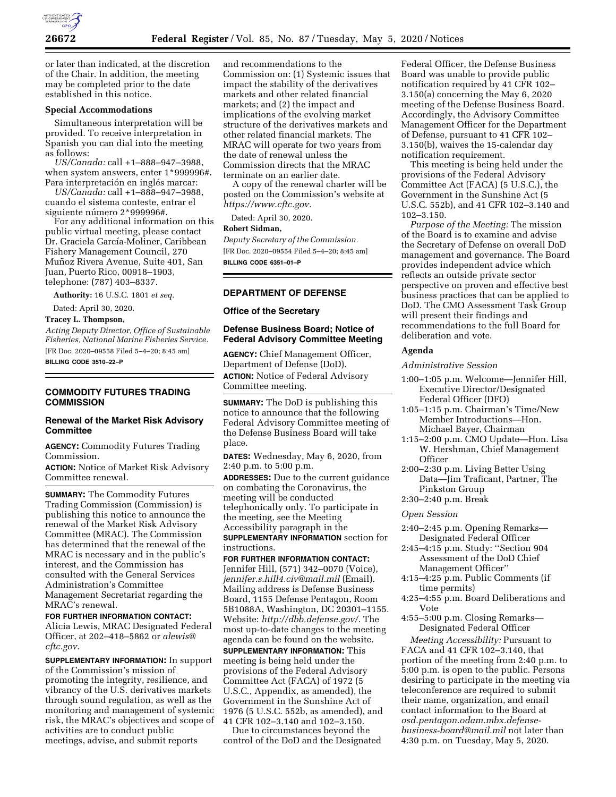

or later than indicated, at the discretion of the Chair. In addition, the meeting may be completed prior to the date established in this notice.

### **Special Accommodations**

Simultaneous interpretation will be provided. To receive interpretation in Spanish you can dial into the meeting as follows:

*US/Canada:* call +1–888–947–3988, when system answers, enter 1\*999996#. Para interpretación en inglés marcar:

*US/Canada:* call +1–888–947–3988, cuando el sistema conteste, entrar el siguiente número 2\*999996#.

For any additional information on this public virtual meeting, please contact Dr. Graciela García-Moliner, Caribbean Fishery Management Council, 270 Muñoz Rivera Avenue, Suite 401, San Juan, Puerto Rico, 00918–1903, telephone: (787) 403–8337.

**Authority:** 16 U.S.C. 1801 *et seq.* 

Dated: April 30, 2020.

**Tracey L. Thompson,** 

*Acting Deputy Director, Office of Sustainable Fisheries, National Marine Fisheries Service.*  [FR Doc. 2020–09558 Filed 5–4–20; 8:45 am]

**BILLING CODE 3510–22–P** 

## **COMMODITY FUTURES TRADING COMMISSION**

# **Renewal of the Market Risk Advisory Committee**

**AGENCY:** Commodity Futures Trading Commission.

**ACTION:** Notice of Market Risk Advisory Committee renewal.

**SUMMARY:** The Commodity Futures Trading Commission (Commission) is publishing this notice to announce the renewal of the Market Risk Advisory Committee (MRAC). The Commission has determined that the renewal of the MRAC is necessary and in the public's interest, and the Commission has consulted with the General Services Administration's Committee Management Secretariat regarding the MRAC's renewal.

**FOR FURTHER INFORMATION CONTACT:**  Alicia Lewis, MRAC Designated Federal Officer, at 202–418–5862 or *[alewis@](mailto:alewis@cftc.gov) [cftc.gov.](mailto:alewis@cftc.gov)* 

**SUPPLEMENTARY INFORMATION:** In support of the Commission's mission of promoting the integrity, resilience, and vibrancy of the U.S. derivatives markets through sound regulation, as well as the monitoring and management of systemic risk, the MRAC's objectives and scope of activities are to conduct public meetings, advise, and submit reports

and recommendations to the Commission on: (1) Systemic issues that impact the stability of the derivatives markets and other related financial markets; and (2) the impact and implications of the evolving market structure of the derivatives markets and other related financial markets. The MRAC will operate for two years from the date of renewal unless the Commission directs that the MRAC terminate on an earlier date.

A copy of the renewal charter will be posted on the Commission's website at *[https://www.cftc.gov.](https://www.cftc.gov)* 

Dated: April 30, 2020.

#### **Robert Sidman,**

*Deputy Secretary of the Commission.*  [FR Doc. 2020–09554 Filed 5–4–20; 8:45 am] **BILLING CODE 6351–01–P** 

## **DEPARTMENT OF DEFENSE**

### **Office of the Secretary**

## **Defense Business Board; Notice of Federal Advisory Committee Meeting**

**AGENCY:** Chief Management Officer, Department of Defense (DoD). **ACTION:** Notice of Federal Advisory Committee meeting.

**SUMMARY:** The DoD is publishing this notice to announce that the following Federal Advisory Committee meeting of the Defense Business Board will take place.

**DATES:** Wednesday, May 6, 2020, from 2:40 p.m. to 5:00 p.m.

**ADDRESSES:** Due to the current guidance on combating the Coronavirus, the meeting will be conducted telephonically only. To participate in the meeting, see the Meeting Accessibility paragraph in the **SUPPLEMENTARY INFORMATION** section for instructions.

**FOR FURTHER INFORMATION CONTACT:**  Jennifer Hill, (571) 342–0070 (Voice), *[jennifer.s.hill4.civ@mail.mil](mailto:jennifer.s.hill4.civ@mail.mil)* (Email). Mailing address is Defense Business Board, 1155 Defense Pentagon, Room 5B1088A, Washington, DC 20301–1155. Website: *[http://dbb.defense.gov/.](http://dbb.defense.gov/)* The most up-to-date changes to the meeting agenda can be found on the website.

**SUPPLEMENTARY INFORMATION:** This meeting is being held under the provisions of the Federal Advisory Committee Act (FACA) of 1972 (5 U.S.C., Appendix, as amended), the Government in the Sunshine Act of 1976 (5 U.S.C. 552b, as amended), and 41 CFR 102–3.140 and 102–3.150.

Due to circumstances beyond the control of the DoD and the Designated

Federal Officer, the Defense Business Board was unable to provide public notification required by 41 CFR 102– 3.150(a) concerning the May 6, 2020 meeting of the Defense Business Board. Accordingly, the Advisory Committee Management Officer for the Department of Defense, pursuant to 41 CFR 102– 3.150(b), waives the 15-calendar day notification requirement.

This meeting is being held under the provisions of the Federal Advisory Committee Act (FACA) (5 U.S.C.), the Government in the Sunshine Act (5 U.S.C. 552b), and 41 CFR 102–3.140 and 102–3.150.

*Purpose of the Meeting:* The mission of the Board is to examine and advise the Secretary of Defense on overall DoD management and governance. The Board provides independent advice which reflects an outside private sector perspective on proven and effective best business practices that can be applied to DoD. The CMO Assessment Task Group will present their findings and recommendations to the full Board for deliberation and vote.

### **Agenda**

*Administrative Session* 

- 1:00–1:05 p.m. Welcome—Jennifer Hill, Executive Director/Designated Federal Officer (DFO)
- 1:05–1:15 p.m. Chairman's Time/New Member Introductions—Hon. Michael Bayer, Chairman
- 1:15–2:00 p.m. CMO Update—Hon. Lisa W. Hershman, Chief Management **Officer**
- 2:00–2:30 p.m. Living Better Using Data—Jim Traficant, Partner, The Pinkston Group
- 2:30–2:40 p.m. Break

## *Open Session*

- 2:40–2:45 p.m. Opening Remarks— Designated Federal Officer
- 2:45–4:15 p.m. Study: ''Section 904 Assessment of the DoD Chief Management Officer''
- 4:15–4:25 p.m. Public Comments (if time permits)
- 4:25–4:55 p.m. Board Deliberations and Vote
- 4:55–5:00 p.m. Closing Remarks— Designated Federal Officer

*Meeting Accessibility:* Pursuant to FACA and 41 CFR 102–3.140, that portion of the meeting from 2:40 p.m. to 5:00 p.m. is open to the public. Persons desiring to participate in the meeting via teleconference are required to submit their name, organization, and email contact information to the Board at *[osd.pentagon.odam.mbx.defense](mailto:osd.pentagon.odam.mbx.defense-business-board@mail.mil)[business-board@mail.mil](mailto:osd.pentagon.odam.mbx.defense-business-board@mail.mil)* not later than 4:30 p.m. on Tuesday, May 5, 2020.